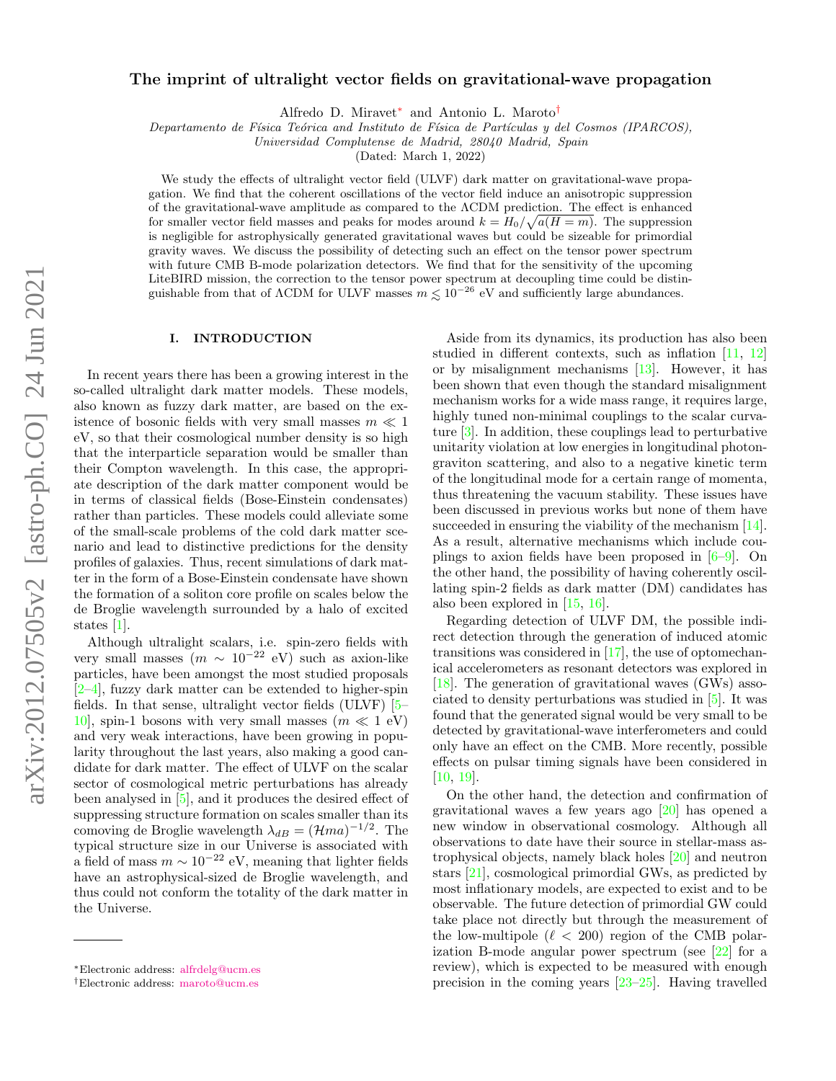# The imprint of ultralight vector fields on gravitational-wave propagation

Alfredo D. Miravet[∗](#page-0-0) and Antonio L. Maroto[†](#page-0-1)

Departamento de Física Teórica and Instituto de Física de Partículas y del Cosmos (IPARCOS),

Universidad Complutense de Madrid, 28040 Madrid, Spain

(Dated: March 1, 2022)

We study the effects of ultralight vector field (ULVF) dark matter on gravitational-wave propagation. We find that the coherent oscillations of the vector field induce an anisotropic suppression of the gravitational-wave amplitude as compared to the ΛCDM prediction. The effect is enhanced for smaller vector field masses and peaks for modes around  $k = H_0 / \sqrt{a(H = m)}$ . The suppression is negligible for astrophysically generated gravitational waves but could be sizeable for primordial gravity waves. We discuss the possibility of detecting such an effect on the tensor power spectrum with future CMB B-mode polarization detectors. We find that for the sensitivity of the upcoming LiteBIRD mission, the correction to the tensor power spectrum at decoupling time could be distinguishable from that of  $\Lambda$ CDM for ULVF masses  $m \leq 10^{-26}$  eV and sufficiently large abundances.

### <span id="page-0-2"></span>I. INTRODUCTION

In recent years there has been a growing interest in the so-called ultralight dark matter models. These models, also known as fuzzy dark matter, are based on the existence of bosonic fields with very small masses  $m \ll 1$ eV, so that their cosmological number density is so high that the interparticle separation would be smaller than their Compton wavelength. In this case, the appropriate description of the dark matter component would be in terms of classical fields (Bose-Einstein condensates) rather than particles. These models could alleviate some of the small-scale problems of the cold dark matter scenario and lead to distinctive predictions for the density profiles of galaxies. Thus, recent simulations of dark matter in the form of a Bose-Einstein condensate have shown the formation of a soliton core profile on scales below the de Broglie wavelength surrounded by a halo of excited states [\[1\]](#page-9-0).

Although ultralight scalars, i.e. spin-zero fields with very small masses  $(m \sim 10^{-22} \text{ eV})$  such as axion-like particles, have been amongst the most studied proposals  $[2-4]$  $[2-4]$ , fuzzy dark matter can be extended to higher-spin fields. In that sense, ultralight vector fields (ULVF) [\[5–](#page-9-3) 10, spin-1 bosons with very small masses  $(m \ll 1 \text{ eV})$ and very weak interactions, have been growing in popularity throughout the last years, also making a good candidate for dark matter. The effect of ULVF on the scalar sector of cosmological metric perturbations has already been analysed in [\[5\]](#page-9-3), and it produces the desired effect of suppressing structure formation on scales smaller than its comoving de Broglie wavelength  $\lambda_{dB} = (\mathcal{H}ma)^{-1/2}$ . The typical structure size in our Universe is associated with a field of mass  $m \sim 10^{-22}$  eV, meaning that lighter fields have an astrophysical-sized de Broglie wavelength, and thus could not conform the totality of the dark matter in the Universe.

Aside from its dynamics, its production has also been studied in different contexts, such as inflation [\[11,](#page-9-5) [12\]](#page-9-6) or by misalignment mechanisms [\[13\]](#page-9-7). However, it has been shown that even though the standard misalignment mechanism works for a wide mass range, it requires large, highly tuned non-minimal couplings to the scalar curvature [\[3\]](#page-9-8). In addition, these couplings lead to perturbative unitarity violation at low energies in longitudinal photongraviton scattering, and also to a negative kinetic term of the longitudinal mode for a certain range of momenta, thus threatening the vacuum stability. These issues have been discussed in previous works but none of them have succeeded in ensuring the viability of the mechanism [\[14\]](#page-9-9). As a result, alternative mechanisms which include couplings to axion fields have been proposed in  $[6-9]$  $[6-9]$ . On the other hand, the possibility of having coherently oscillating spin-2 fields as dark matter (DM) candidates has also been explored in [\[15,](#page-9-12) [16\]](#page-9-13).

Regarding detection of ULVF DM, the possible indirect detection through the generation of induced atomic transitions was considered in [\[17\]](#page-9-14), the use of optomechanical accelerometers as resonant detectors was explored in [\[18\]](#page-9-15). The generation of gravitational waves (GWs) associated to density perturbations was studied in [\[5\]](#page-9-3). It was found that the generated signal would be very small to be detected by gravitational-wave interferometers and could only have an effect on the CMB. More recently, possible effects on pulsar timing signals have been considered in [\[10,](#page-9-4) [19\]](#page-9-16).

On the other hand, the detection and confirmation of gravitational waves a few years ago [\[20\]](#page-9-17) has opened a new window in observational cosmology. Although all observations to date have their source in stellar-mass astrophysical objects, namely black holes [\[20\]](#page-9-17) and neutron stars [\[21\]](#page-9-18), cosmological primordial GWs, as predicted by most inflationary models, are expected to exist and to be observable. The future detection of primordial GW could take place not directly but through the measurement of the low-multipole ( $\ell$  < 200) region of the CMB polarization B-mode angular power spectrum (see [\[22\]](#page-9-19) for a review), which is expected to be measured with enough precision in the coming years [\[23](#page-9-20)[–25\]](#page-9-21). Having travelled

<span id="page-0-0"></span><sup>∗</sup>Electronic address: [alfrdelg@ucm.es](mailto:alfrdelg@ucm.es)

<span id="page-0-1"></span><sup>†</sup>Electronic address: [maroto@ucm.es](mailto:maroto@ucm.es)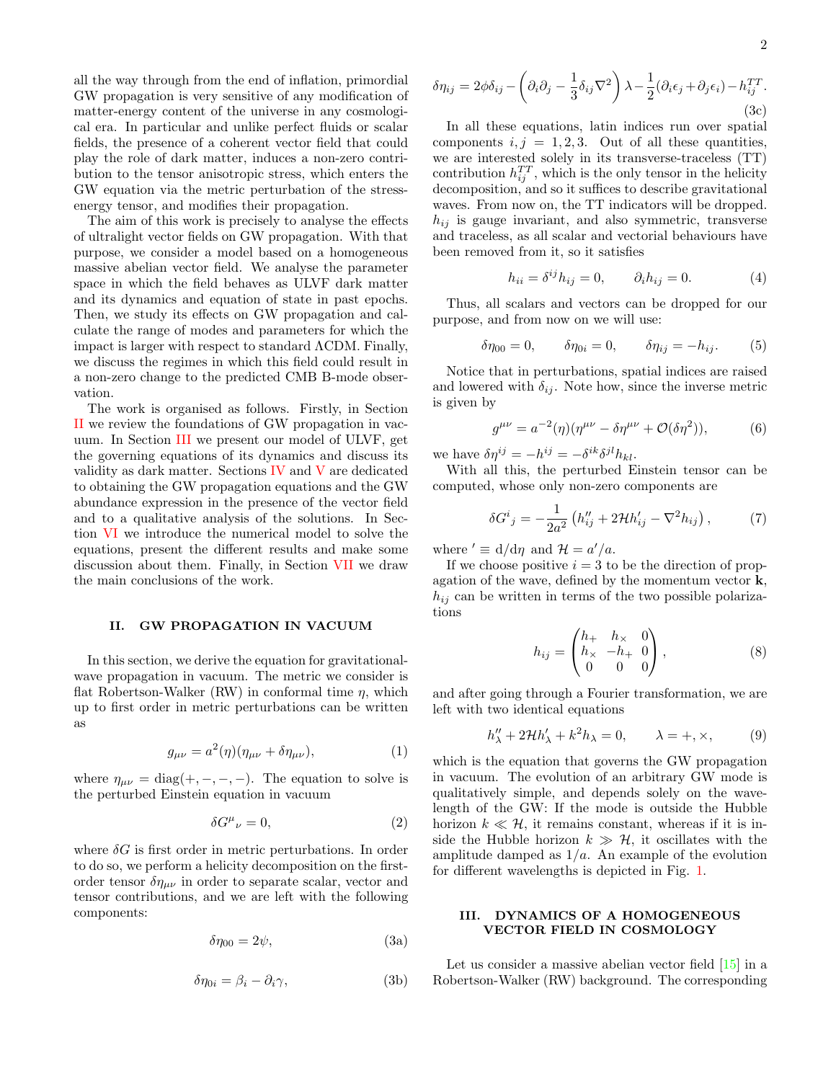all the way through from the end of inflation, primordial GW propagation is very sensitive of any modification of matter-energy content of the universe in any cosmological era. In particular and unlike perfect fluids or scalar fields, the presence of a coherent vector field that could play the role of dark matter, induces a non-zero contribution to the tensor anisotropic stress, which enters the GW equation via the metric perturbation of the stressenergy tensor, and modifies their propagation.

The aim of this work is precisely to analyse the effects of ultralight vector fields on GW propagation. With that purpose, we consider a model based on a homogeneous massive abelian vector field. We analyse the parameter space in which the field behaves as ULVF dark matter and its dynamics and equation of state in past epochs. Then, we study its effects on GW propagation and calculate the range of modes and parameters for which the impact is larger with respect to standard ΛCDM. Finally, we discuss the regimes in which this field could result in a non-zero change to the predicted CMB B-mode observation.

The work is organised as follows. Firstly, in Section [II](#page-1-0) we review the foundations of GW propagation in vacuum. In Section [III](#page-1-1) we present our model of ULVF, get the governing equations of its dynamics and discuss its validity as dark matter. Sections [IV](#page-3-0) and [V](#page-5-0) are dedicated to obtaining the GW propagation equations and the GW abundance expression in the presence of the vector field and to a qualitative analysis of the solutions. In Section [VI](#page-5-1) we introduce the numerical model to solve the equations, present the different results and make some discussion about them. Finally, in Section [VII](#page-8-0) we draw the main conclusions of the work.

### <span id="page-1-0"></span>II. GW PROPAGATION IN VACUUM

In this section, we derive the equation for gravitationalwave propagation in vacuum. The metric we consider is flat Robertson-Walker (RW) in conformal time  $\eta$ , which up to first order in metric perturbations can be written as

<span id="page-1-2"></span>
$$
g_{\mu\nu} = a^2(\eta)(\eta_{\mu\nu} + \delta\eta_{\mu\nu}), \tag{1}
$$

where  $\eta_{\mu\nu} = \text{diag}(+,-,-,-)$ . The equation to solve is the perturbed Einstein equation in vacuum

$$
\delta G^{\mu}{}_{\nu} = 0,\tag{2}
$$

where  $\delta G$  is first order in metric perturbations. In order to do so, we perform a helicity decomposition on the firstorder tensor  $\delta\eta_{\mu\nu}$  in order to separate scalar, vector and tensor contributions, and we are left with the following components:

$$
\delta \eta_{00} = 2\psi, \tag{3a}
$$

$$
\delta \eta_{0i} = \beta_i - \partial_i \gamma,\tag{3b}
$$

$$
\delta \eta_{ij} = 2\phi \delta_{ij} - \left(\partial_i \partial_j - \frac{1}{3} \delta_{ij} \nabla^2\right) \lambda - \frac{1}{2} (\partial_i \epsilon_j + \partial_j \epsilon_i) - h_{ij}^{TT}.
$$
\n(3c)

In all these equations, latin indices run over spatial components  $i, j = 1, 2, 3$ . Out of all these quantities, we are interested solely in its transverse-traceless (TT) contribution  $h_{ij}^{TT}$ , which is the only tensor in the helicity decomposition, and so it suffices to describe gravitational waves. From now on, the TT indicators will be dropped.  $h_{ij}$  is gauge invariant, and also symmetric, transverse and traceless, as all scalar and vectorial behaviours have been removed from it, so it satisfies

$$
h_{ii} = \delta^{ij} h_{ij} = 0, \qquad \partial_i h_{ij} = 0.
$$
 (4)

Thus, all scalars and vectors can be dropped for our purpose, and from now on we will use:

$$
\delta \eta_{00} = 0, \qquad \delta \eta_{0i} = 0, \qquad \delta \eta_{ij} = -h_{ij}.
$$
 (5)

Notice that in perturbations, spatial indices are raised and lowered with  $\delta_{ij}$ . Note how, since the inverse metric is given by

$$
g^{\mu\nu} = a^{-2}(\eta)(\eta^{\mu\nu} - \delta\eta^{\mu\nu} + \mathcal{O}(\delta\eta^2)),
$$
 (6)

we have  $\delta \eta^{ij} = -h^{ij} = -\delta^{ik}\delta^{jl}h_{kl}$ .

With all this, the perturbed Einstein tensor can be computed, whose only non-zero components are

<span id="page-1-3"></span>
$$
\delta G^{i}{}_{j} = -\frac{1}{2a^{2}} \left( h''_{ij} + 2\mathcal{H}h'_{ij} - \nabla^{2}h_{ij} \right), \tag{7}
$$

where  $\prime \equiv d/d\eta$  and  $\mathcal{H} = a'/a$ .

If we choose positive  $i = 3$  to be the direction of propagation of the wave, defined by the momentum vector  $\mathbf{k}$ ,  $h_{ij}$  can be written in terms of the two possible polarizations

<span id="page-1-4"></span>
$$
h_{ij} = \begin{pmatrix} h_+ & h_\times & 0 \\ h_\times & -h_+ & 0 \\ 0 & 0 & 0 \end{pmatrix},
$$
 (8)

and after going through a Fourier transformation, we are left with two identical equations

$$
h''_{\lambda} + 2\mathcal{H}h'_{\lambda} + k^2h_{\lambda} = 0, \qquad \lambda = +, \times, \tag{9}
$$

which is the equation that governs the GW propagation in vacuum. The evolution of an arbitrary GW mode is qualitatively simple, and depends solely on the wavelength of the GW: If the mode is outside the Hubble horizon  $k \ll \mathcal{H}$ , it remains constant, whereas if it is inside the Hubble horizon  $k \gg H$ , it oscillates with the amplitude damped as  $1/a$ . An example of the evolution for different wavelengths is depicted in Fig. [1.](#page-2-0)

## <span id="page-1-1"></span>III. DYNAMICS OF A HOMOGENEOUS VECTOR FIELD IN COSMOLOGY

Let us consider a massive abelian vector field  $[15]$  in a Robertson-Walker (RW) background. The corresponding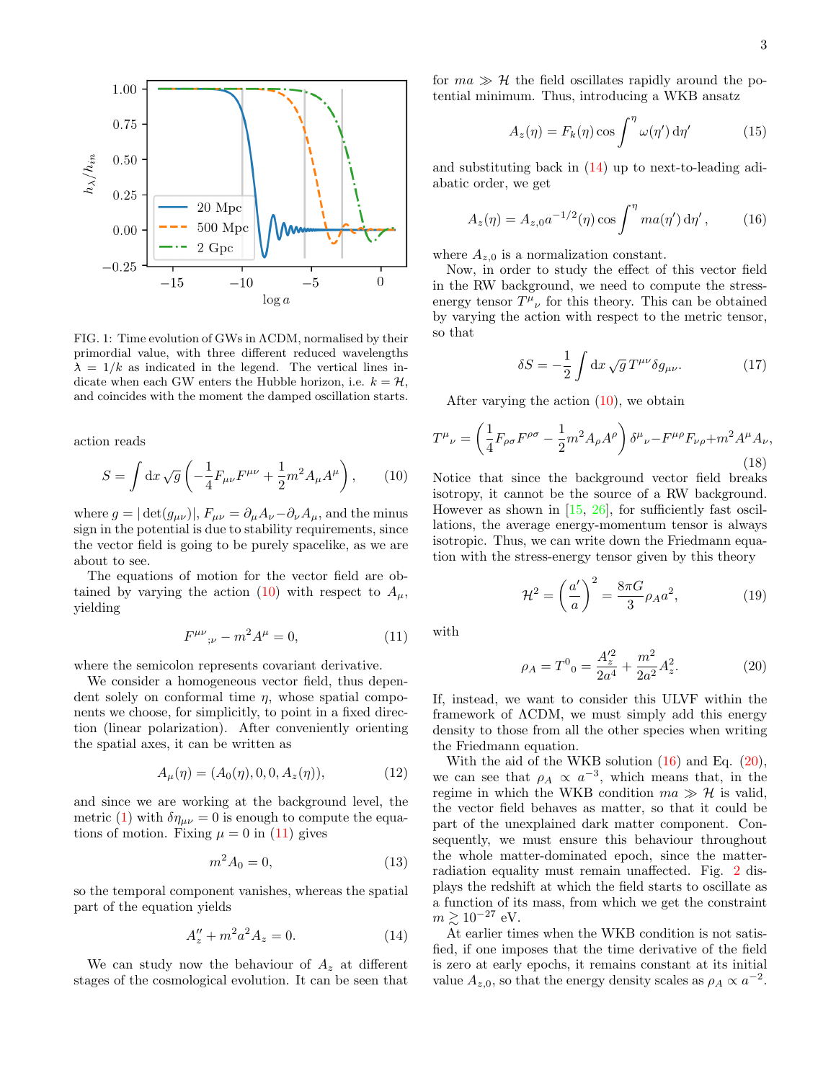

<span id="page-2-0"></span>FIG. 1: Time evolution of GWs in ΛCDM, normalised by their primordial value, with three different reduced wavelengths  $\lambda = 1/k$  as indicated in the legend. The vertical lines indicate when each GW enters the Hubble horizon, i.e.  $k = H$ , and coincides with the moment the damped oscillation starts.

action reads

<span id="page-2-1"></span>
$$
S = \int \mathrm{d}x \sqrt{g} \left( -\frac{1}{4} F_{\mu\nu} F^{\mu\nu} + \frac{1}{2} m^2 A_{\mu} A^{\mu} \right), \qquad (10)
$$

where  $g = |\det(g_{\mu\nu})|$ ,  $F_{\mu\nu} = \partial_{\mu}A_{\nu} - \partial_{\nu}A_{\mu}$ , and the minus sign in the potential is due to stability requirements, since the vector field is going to be purely spacelike, as we are about to see.

The equations of motion for the vector field are ob-tained by varying the action [\(10\)](#page-2-1) with respect to  $A_{\mu}$ , yielding

<span id="page-2-2"></span>
$$
F^{\mu\nu}{}_{;\nu} - m^2 A^{\mu} = 0,\tag{11}
$$

where the semicolon represents covariant derivative.

We consider a homogeneous vector field, thus dependent solely on conformal time  $\eta$ , whose spatial components we choose, for simplicitly, to point in a fixed direction (linear polarization). After conveniently orienting the spatial axes, it can be written as

$$
A_{\mu}(\eta) = (A_0(\eta), 0, 0, A_z(\eta)), \tag{12}
$$

and since we are working at the background level, the metric [\(1\)](#page-1-2) with  $\delta \eta_{\mu\nu} = 0$  is enough to compute the equations of motion. Fixing  $\mu = 0$  in [\(11\)](#page-2-2) gives

$$
m^2 A_0 = 0,\t\t(13)
$$

so the temporal component vanishes, whereas the spatial part of the equation yields

<span id="page-2-3"></span>
$$
A''_z + m^2 a^2 A_z = 0.
$$
 (14)

We can study now the behaviour of  $A<sub>z</sub>$  at different stages of the cosmological evolution. It can be seen that

for  $ma \gg H$  the field oscillates rapidly around the potential minimum. Thus, introducing a WKB ansatz

$$
A_z(\eta) = F_k(\eta) \cos \int^{\eta} \omega(\eta') d\eta' \tag{15}
$$

and substituting back in  $(14)$  up to next-to-leading adiabatic order, we get

<span id="page-2-4"></span>
$$
A_z(\eta) = A_{z,0} a^{-1/2}(\eta) \cos \int^{\eta} m a(\eta') d\eta', \qquad (16)
$$

where  $A_{z,0}$  is a normalization constant.

Now, in order to study the effect of this vector field in the RW background, we need to compute the stressenergy tensor  $T^{\mu}{}_{\nu}$  for this theory. This can be obtained by varying the action with respect to the metric tensor, so that

$$
\delta S = -\frac{1}{2} \int \mathrm{d}x \sqrt{g} \, T^{\mu\nu} \delta g_{\mu\nu}.\tag{17}
$$

After varying the action  $(10)$ , we obtain

<span id="page-2-6"></span>
$$
T^{\mu}{}_{\nu} = \left(\frac{1}{4}F_{\rho\sigma}F^{\rho\sigma} - \frac{1}{2}m^2A_{\rho}A^{\rho}\right)\delta^{\mu}{}_{\nu} - F^{\mu\rho}F_{\nu\rho} + m^2A^{\mu}A_{\nu},\tag{18}
$$

Notice that since the background vector field breaks isotropy, it cannot be the source of a RW background. However as shown in  $[15, 26]$  $[15, 26]$  $[15, 26]$ , for sufficiently fast oscillations, the average energy-momentum tensor is always isotropic. Thus, we can write down the Friedmann equation with the stress-energy tensor given by this theory

$$
\mathcal{H}^2 = \left(\frac{a'}{a}\right)^2 = \frac{8\pi G}{3} \rho_A a^2,\tag{19}
$$

with

<span id="page-2-5"></span>
$$
\rho_A = T^0{}_0 = \frac{A_z^{\prime 2}}{2a^4} + \frac{m^2}{2a^2} A_z^2. \tag{20}
$$

If, instead, we want to consider this ULVF within the framework of ΛCDM, we must simply add this energy density to those from all the other species when writing the Friedmann equation.

With the aid of the WKB solution [\(16\)](#page-2-4) and Eq. [\(20\)](#page-2-5), we can see that  $\rho_A \propto a^{-3}$ , which means that, in the regime in which the WKB condition  $ma \gg H$  is valid, the vector field behaves as matter, so that it could be part of the unexplained dark matter component. Consequently, we must ensure this behaviour throughout the whole matter-dominated epoch, since the matterradiation equality must remain unaffected. Fig. [2](#page-3-1) displays the redshift at which the field starts to oscillate as a function of its mass, from which we get the constraint  $m \gtrsim 10^{-27}$  eV.

At earlier times when the WKB condition is not satisfied, if one imposes that the time derivative of the field is zero at early epochs, it remains constant at its initial value  $A_{z,0}$ , so that the energy density scales as  $\rho_A \propto a^{-2}$ .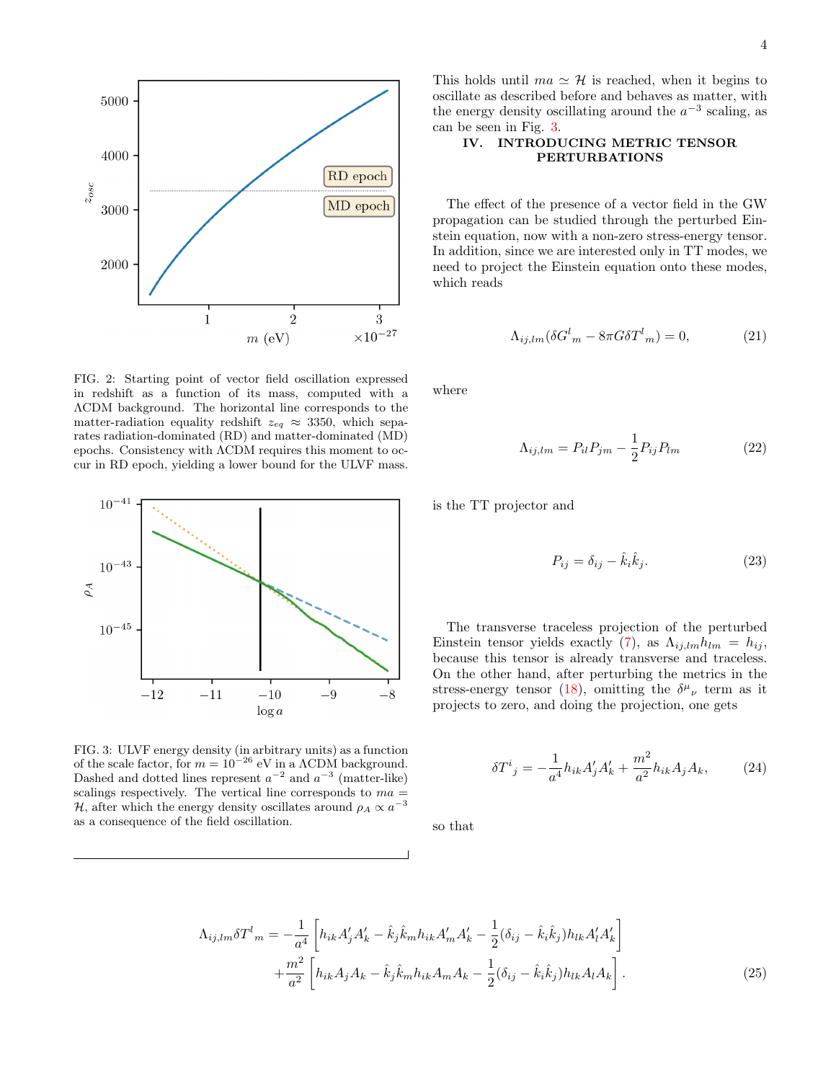

<span id="page-3-1"></span>FIG. 2: Starting point of vector field oscillation expressed in redshift as a function of its mass, computed with a ΛCDM background. The horizontal line corresponds to the matter-radiation equality redshift  $z_{eq} \approx 3350$ , which separates radiation-dominated (RD) and matter-dominated (MD) epochs. Consistency with ΛCDM requires this moment to occur in RD epoch, yielding a lower bound for the ULVF mass.



<span id="page-3-2"></span>FIG. 3: ULVF energy density (in arbitrary units) as a function of the scale factor, for  $m = 10^{-26}$  eV in a  $\Lambda$ CDM background. Dashed and dotted lines represent  $a^{-2}$  and  $a^{-3}$  (matter-like) scalings respectively. The vertical line corresponds to  $ma =$ H, after which the energy density oscillates around  $\rho_A \propto a^{-3}$ as a consequence of the field oscillation.

This holds until  $ma \simeq H$  is reached, when it begins to oscillate as described before and behaves as matter, with the energy density oscillating around the  $a^{-3}$  scaling, as can be seen in Fig. [3.](#page-3-2)

## <span id="page-3-0"></span>IV. INTRODUCING METRIC TENSOR PERTURBATIONS

The effect of the presence of a vector field in the GW propagation can be studied through the perturbed Einstein equation, now with a non-zero stress-energy tensor. In addition, since we are interested only in TT modes, we need to project the Einstein equation onto these modes, which reads

$$
\Lambda_{ij,lm}(\delta G^l{}_m - 8\pi G \delta T^l{}_m) = 0,\tag{21}
$$

where

$$
\Lambda_{ij,lm} = P_{il}P_{jm} - \frac{1}{2}P_{ij}P_{lm} \tag{22}
$$

is the TT projector and

$$
P_{ij} = \delta_{ij} - \hat{k}_i \hat{k}_j. \tag{23}
$$

The transverse traceless projection of the perturbed Einstein tensor yields exactly [\(7\)](#page-1-3), as  $\Lambda_{ij,lm}h_{lm} = h_{ij}$ , because this tensor is already transverse and traceless. On the other hand, after perturbing the metrics in the stress-energy tensor [\(18\)](#page-2-6), omitting the  $\delta^{\mu}{}_{\nu}$  term as it projects to zero, and doing the projection, one gets

$$
\delta T^{i}{}_{j} = -\frac{1}{a^{4}} h_{ik} A'_{j} A'_{k} + \frac{m^{2}}{a^{2}} h_{ik} A_{j} A_{k}, \qquad (24)
$$

so that

$$
\Lambda_{ij,lm} \delta T^{l}_{m} = -\frac{1}{a^{4}} \left[ h_{ik} A'_{j} A'_{k} - \hat{k}_{j} \hat{k}_{m} h_{ik} A'_{m} A'_{k} - \frac{1}{2} (\delta_{ij} - \hat{k}_{i} \hat{k}_{j}) h_{lk} A'_{l} A'_{k} \right] + \frac{m^{2}}{a^{2}} \left[ h_{ik} A_{j} A_{k} - \hat{k}_{j} \hat{k}_{m} h_{ik} A_{m} A_{k} - \frac{1}{2} (\delta_{ij} - \hat{k}_{i} \hat{k}_{j}) h_{lk} A_{l} A_{k} \right].
$$
\n(25)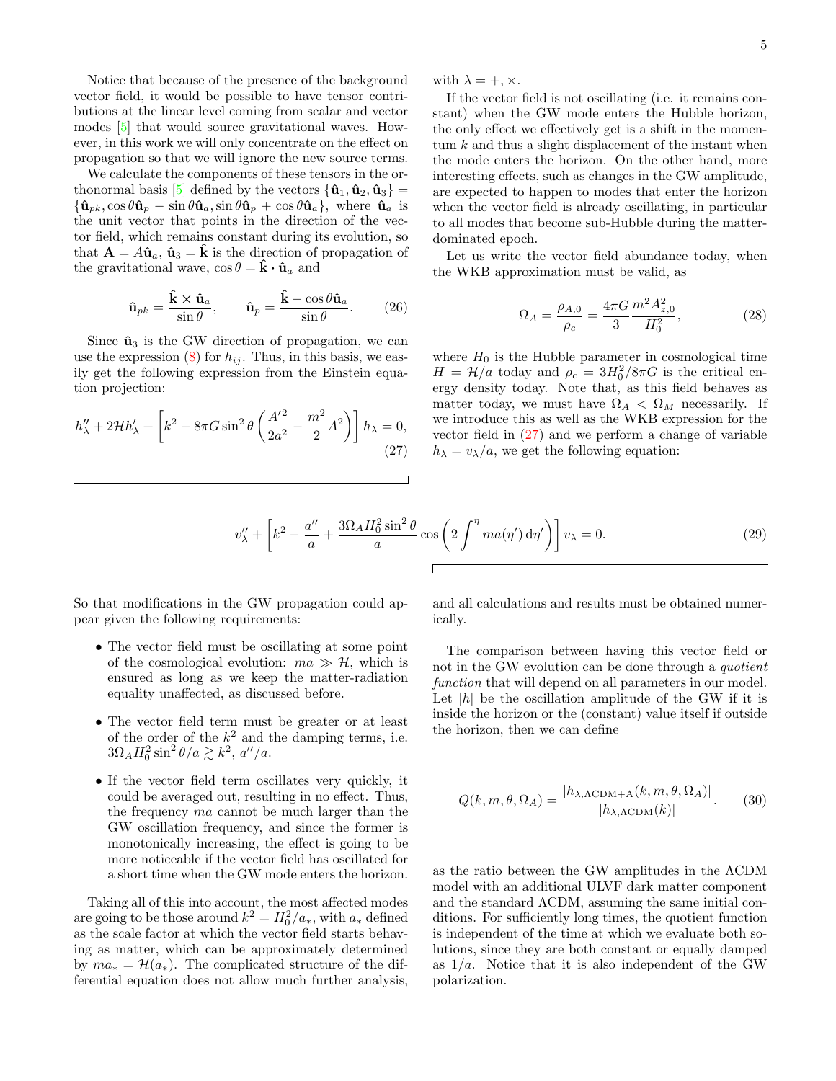Notice that because of the presence of the background vector field, it would be possible to have tensor contributions at the linear level coming from scalar and vector modes [\[5\]](#page-9-3) that would source gravitational waves. However, in this work we will only concentrate on the effect on propagation so that we will ignore the new source terms.

We calculate the components of these tensors in the or-thonormal basis [\[5\]](#page-9-3) defined by the vectors  $\{\hat{\mathbf{u}}_1, \hat{\mathbf{u}}_2, \hat{\mathbf{u}}_3\}$  =  ${\hat{\mathbf{u}}}_{pk}, \cos \theta \hat{\mathbf{u}}_p - \sin \theta \hat{\mathbf{u}}_a, \sin \theta \hat{\mathbf{u}}_p + \cos \theta \hat{\mathbf{u}}_a$ , where  $\hat{\mathbf{u}}_a$  is the unit vector that points in the direction of the vector field, which remains constant during its evolution, so that  $\mathbf{A} = A\hat{\mathbf{u}}_a$ ,  $\hat{\mathbf{u}}_3 = \hat{\mathbf{k}}$  is the direction of propagation of the gravitational wave,  $\cos \theta = \hat{\mathbf{k}} \cdot \hat{\mathbf{u}}_a$  and

$$
\hat{\mathbf{u}}_{pk} = \frac{\hat{\mathbf{k}} \times \hat{\mathbf{u}}_a}{\sin \theta}, \qquad \hat{\mathbf{u}}_p = \frac{\hat{\mathbf{k}} - \cos \theta \hat{\mathbf{u}}_a}{\sin \theta}.
$$
 (26)

Since  $\hat{\mathbf{u}}_3$  is the GW direction of propagation, we can use the expression  $(8)$  for  $h_{ij}$ . Thus, in this basis, we easily get the following expression from the Einstein equation projection:

<span id="page-4-0"></span>
$$
h''_{\lambda} + 2\mathcal{H}h'_{\lambda} + \left[k^2 - 8\pi G\sin^2\theta \left(\frac{A'^2}{2a^2} - \frac{m^2}{2}A^2\right)\right]h_{\lambda} = 0,
$$
\n(27)

with  $\lambda = +, \times$ .

If the vector field is not oscillating (i.e. it remains constant) when the GW mode enters the Hubble horizon, the only effect we effectively get is a shift in the momentum  $k$  and thus a slight displacement of the instant when the mode enters the horizon. On the other hand, more interesting effects, such as changes in the GW amplitude, are expected to happen to modes that enter the horizon when the vector field is already oscillating, in particular to all modes that become sub-Hubble during the matterdominated epoch.

Let us write the vector field abundance today, when the WKB approximation must be valid, as

$$
\Omega_A = \frac{\rho_{A,0}}{\rho_c} = \frac{4\pi G}{3} \frac{m^2 A_{z,0}^2}{H_0^2},\tag{28}
$$

where  $H_0$  is the Hubble parameter in cosmological time  $H = \mathcal{H}/a$  today and  $\rho_c = 3H_0^2/8\pi G$  is the critical energy density today. Note that, as this field behaves as matter today, we must have  $\Omega_A < \Omega_M$  necessarily. If we introduce this as well as the WKB expression for the vector field in [\(27\)](#page-4-0) and we perform a change of variable  $h_{\lambda} = v_{\lambda}/a$ , we get the following equation:

$$
v''_{\lambda} + \left[k^2 - \frac{a''}{a} + \frac{3\Omega_A H_0^2 \sin^2 \theta}{a} \cos\left(2 \int^{\eta} ma(\eta') d\eta'\right)\right] v_{\lambda} = 0. \tag{29}
$$

So that modifications in the GW propagation could appear given the following requirements:

- The vector field must be oscillating at some point of the cosmological evolution:  $ma \gg H$ , which is ensured as long as we keep the matter-radiation equality unaffected, as discussed before.
- The vector field term must be greater or at least of the order of the  $k^2$  and the damping terms, i.e.  $3\Omega_A H_0^2 \sin^2 \theta /a \gtrsim k^2$ ,  $a''/a$ .
- If the vector field term oscillates very quickly, it could be averaged out, resulting in no effect. Thus, the frequency ma cannot be much larger than the GW oscillation frequency, and since the former is monotonically increasing, the effect is going to be more noticeable if the vector field has oscillated for a short time when the GW mode enters the horizon.

Taking all of this into account, the most affected modes are going to be those around  $k^2 = H_0^2/a_*$ , with  $a_*$  defined as the scale factor at which the vector field starts behaving as matter, which can be approximately determined by  $ma_* = \mathcal{H}(a_*)$ . The complicated structure of the differential equation does not allow much further analysis,

and all calculations and results must be obtained numerically.

The comparison between having this vector field or not in the GW evolution can be done through a quotient function that will depend on all parameters in our model. Let  $|h|$  be the oscillation amplitude of the GW if it is inside the horizon or the (constant) value itself if outside the horizon, then we can define

<span id="page-4-1"></span>
$$
Q(k, m, \theta, \Omega_A) = \frac{|h_{\lambda, \Lambda \text{CDM} + \Lambda}(k, m, \theta, \Omega_A)|}{|h_{\lambda, \Lambda \text{CDM}}(k)|}.
$$
 (30)

as the ratio between the GW amplitudes in the ΛCDM model with an additional ULVF dark matter component and the standard ΛCDM, assuming the same initial conditions. For sufficiently long times, the quotient function is independent of the time at which we evaluate both solutions, since they are both constant or equally damped as  $1/a$ . Notice that it is also independent of the GW polarization.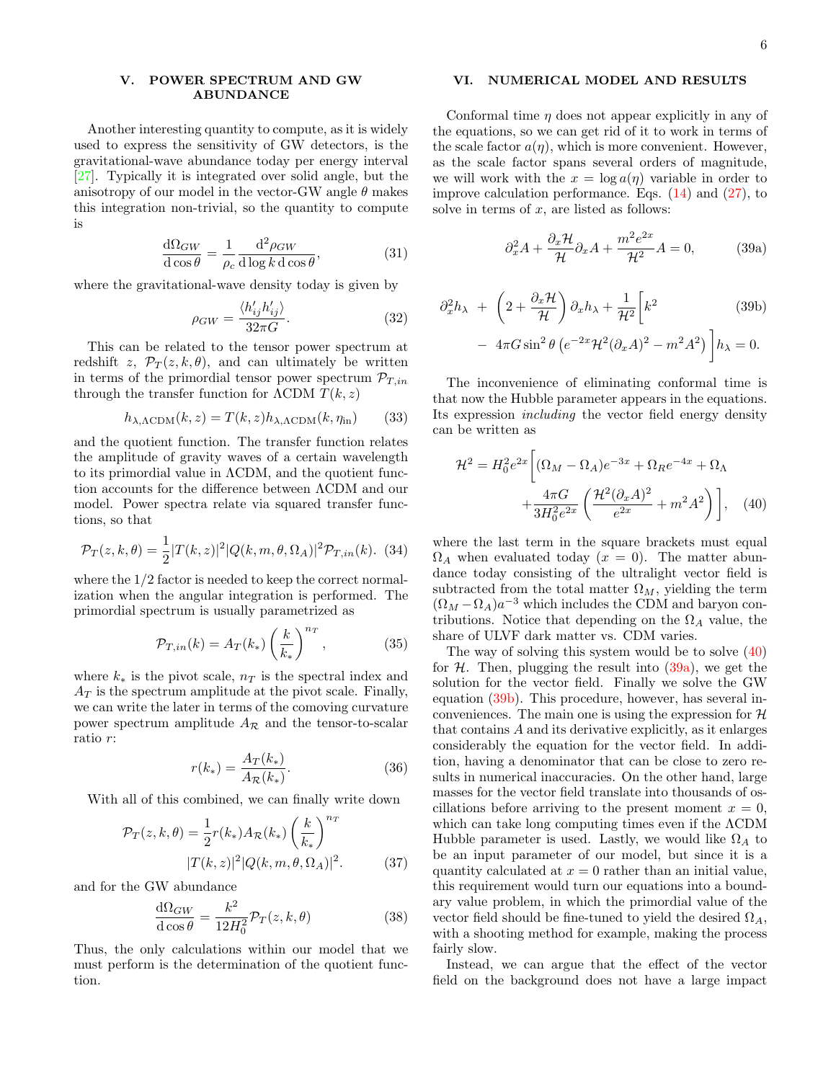### <span id="page-5-0"></span>V. POWER SPECTRUM AND GW ABUNDANCE

Another interesting quantity to compute, as it is widely used to express the sensitivity of GW detectors, is the gravitational-wave abundance today per energy interval [\[27\]](#page-9-23). Typically it is integrated over solid angle, but the anisotropy of our model in the vector-GW angle  $\theta$  makes this integration non-trivial, so the quantity to compute is

$$
\frac{d\Omega_{GW}}{d\cos\theta} = \frac{1}{\rho_c} \frac{d^2\rho_{GW}}{d\log k \,d\cos\theta},\tag{31}
$$

where the gravitational-wave density today is given by

$$
\rho_{GW} = \frac{\langle h'_{ij} h'_{ij} \rangle}{32\pi G}.
$$
\n(32)

This can be related to the tensor power spectrum at redshift z,  $\mathcal{P}_T(z, k, \theta)$ , and can ultimately be written in terms of the primordial tensor power spectrum  $\mathcal{P}_{T,in}$ through the transfer function for  $\Lambda$ CDM  $T(k, z)$ 

<span id="page-5-5"></span>
$$
h_{\lambda,\Lambda\text{CDM}}(k,z) = T(k,z)h_{\lambda,\Lambda\text{CDM}}(k,\eta_{\text{in}})
$$
 (33)

and the quotient function. The transfer function relates the amplitude of gravity waves of a certain wavelength to its primordial value in ΛCDM, and the quotient function accounts for the difference between ΛCDM and our model. Power spectra relate via squared transfer functions, so that

$$
\mathcal{P}_T(z,k,\theta) = \frac{1}{2}|T(k,z)|^2|Q(k,m,\theta,\Omega_A)|^2\mathcal{P}_{T,in}(k). (34)
$$

where the 1/2 factor is needed to keep the correct normalization when the angular integration is performed. The primordial spectrum is usually parametrized as

$$
\mathcal{P}_{T,in}(k) = A_T(k_*) \left(\frac{k}{k_*}\right)^{n_T},\tag{35}
$$

where  $k_*$  is the pivot scale,  $n_T$  is the spectral index and  $A_T$  is the spectrum amplitude at the pivot scale. Finally, we can write the later in terms of the comoving curvature power spectrum amplitude  $A_{\mathcal{R}}$  and the tensor-to-scalar ratio r:

$$
r(k_*) = \frac{A_T(k_*)}{A_{\mathcal{R}}(k_*)}.
$$
 (36)

With all of this combined, we can finally write down

<span id="page-5-6"></span>
$$
\mathcal{P}_T(z,k,\theta) = \frac{1}{2}r(k_*)A_{\mathcal{R}}(k_*)\left(\frac{k}{k_*}\right)^{n_T}
$$

$$
|T(k,z)|^2|Q(k,m,\theta,\Omega_A)|^2. \tag{37}
$$

and for the GW abundance

$$
\frac{\mathrm{d}\Omega_{GW}}{\mathrm{d}\cos\theta} = \frac{k^2}{12H_0^2} \mathcal{P}_T(z,k,\theta) \tag{38}
$$

Thus, the only calculations within our model that we must perform is the determination of the quotient function.

## <span id="page-5-1"></span>VI. NUMERICAL MODEL AND RESULTS

Conformal time  $\eta$  does not appear explicitly in any of the equations, so we can get rid of it to work in terms of the scale factor  $a(\eta)$ , which is more convenient. However, as the scale factor spans several orders of magnitude, we will work with the  $x = \log a(\eta)$  variable in order to improve calculation performance. Eqs.  $(14)$  and  $(27)$ , to solve in terms of  $x$ , are listed as follows:

<span id="page-5-3"></span>
$$
\partial_x^2 A + \frac{\partial_x \mathcal{H}}{\mathcal{H}} \partial_x A + \frac{m^2 e^{2x}}{\mathcal{H}^2} A = 0,\tag{39a}
$$

<span id="page-5-4"></span>
$$
\partial_x^2 h_\lambda + \left(2 + \frac{\partial_x \mathcal{H}}{\mathcal{H}}\right) \partial_x h_\lambda + \frac{1}{\mathcal{H}^2} \left[k^2 \qquad (39b)
$$

$$
- 4\pi G \sin^2 \theta \left(e^{-2x} \mathcal{H}^2 (\partial_x A)^2 - m^2 A^2\right)\right] h_\lambda = 0.
$$

The inconvenience of eliminating conformal time is that now the Hubble parameter appears in the equations. Its expression including the vector field energy density can be written as

<span id="page-5-2"></span>
$$
\mathcal{H}^2 = H_0^2 e^{2x} \left[ (\Omega_M - \Omega_A) e^{-3x} + \Omega_R e^{-4x} + \Omega_\Lambda \right.
$$

$$
+ \frac{4\pi G}{3H_0^2 e^{2x}} \left( \frac{\mathcal{H}^2 (\partial_x A)^2}{e^{2x}} + m^2 A^2 \right) \right], \quad (40)
$$

where the last term in the square brackets must equal  $\Omega_A$  when evaluated today  $(x = 0)$ . The matter abundance today consisting of the ultralight vector field is subtracted from the total matter  $\Omega_M$ , yielding the term  $(\Omega_M - \Omega_A)a^{-3}$  which includes the CDM and baryon contributions. Notice that depending on the  $\Omega_A$  value, the share of ULVF dark matter vs. CDM varies.

The way of solving this system would be to solve [\(40\)](#page-5-2) for  $H$ . Then, plugging the result into  $(39a)$ , we get the solution for the vector field. Finally we solve the GW equation [\(39b\)](#page-5-4). This procedure, however, has several inconveniences. The main one is using the expression for  $H$ that contains A and its derivative explicitly, as it enlarges considerably the equation for the vector field. In addition, having a denominator that can be close to zero results in numerical inaccuracies. On the other hand, large masses for the vector field translate into thousands of oscillations before arriving to the present moment  $x = 0$ , which can take long computing times even if the ΛCDM Hubble parameter is used. Lastly, we would like  $\Omega_A$  to be an input parameter of our model, but since it is a quantity calculated at  $x = 0$  rather than an initial value, this requirement would turn our equations into a boundary value problem, in which the primordial value of the vector field should be fine-tuned to yield the desired  $\Omega_A$ , with a shooting method for example, making the process fairly slow.

Instead, we can argue that the effect of the vector field on the background does not have a large impact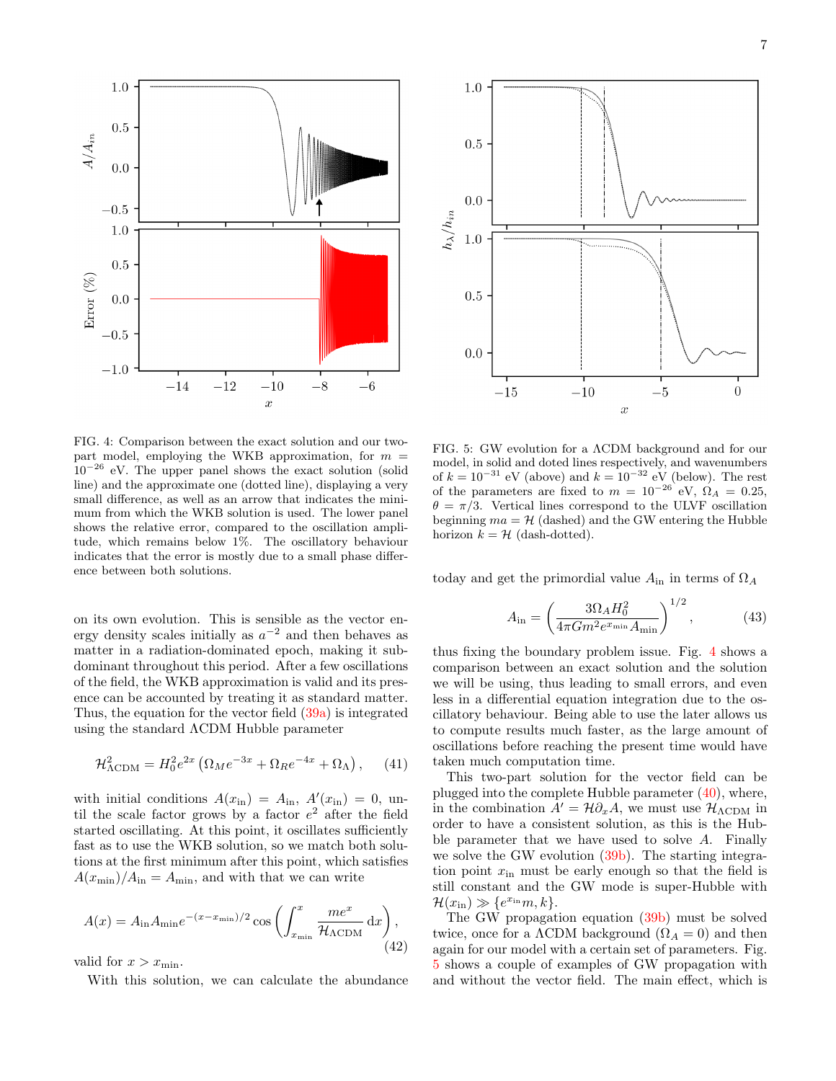



<span id="page-6-0"></span>FIG. 4: Comparison between the exact solution and our twopart model, employing the WKB approximation, for  $m =$  $10^{-26}$  eV. The upper panel shows the exact solution (solid line) and the approximate one (dotted line), displaying a very small difference, as well as an arrow that indicates the minimum from which the WKB solution is used. The lower panel shows the relative error, compared to the oscillation amplitude, which remains below 1%. The oscillatory behaviour indicates that the error is mostly due to a small phase difference between both solutions.

on its own evolution. This is sensible as the vector energy density scales initially as  $a^{-2}$  and then behaves as matter in a radiation-dominated epoch, making it subdominant throughout this period. After a few oscillations of the field, the WKB approximation is valid and its presence can be accounted by treating it as standard matter. Thus, the equation for the vector field [\(39a\)](#page-5-3) is integrated using the standard ΛCDM Hubble parameter

$$
\mathcal{H}^2_{\Lambda\text{CDM}} = H_0^2 e^{2x} \left( \Omega_M e^{-3x} + \Omega_R e^{-4x} + \Omega_\Lambda \right), \quad (41)
$$

with initial conditions  $A(x_{\text{in}}) = A_{\text{in}}$ ,  $A'(x_{\text{in}}) = 0$ , until the scale factor grows by a factor  $e^2$  after the field started oscillating. At this point, it oscillates sufficiently fast as to use the WKB solution, so we match both solutions at the first minimum after this point, which satisfies  $A(x_{\min})/A_{\text{in}} = A_{\min}$ , and with that we can write

$$
A(x) = A_{\rm in} A_{\rm min} e^{-(x - x_{\rm min})/2} \cos \left( \int_{x_{\rm min}}^x \frac{m e^x}{\mathcal{H}_{\Lambda \rm CDM}} \, \mathrm{d}x \right),\tag{42}
$$

valid for  $x > x_{\min}$ .

With this solution, we can calculate the abundance

<span id="page-6-1"></span>FIG. 5: GW evolution for a ΛCDM background and for our model, in solid and doted lines respectively, and wavenumbers of  $k = 10^{-31}$  eV (above) and  $k = 10^{-32}$  eV (below). The rest of the parameters are fixed to  $m = 10^{-26}$  eV,  $\Omega_A = 0.25$ ,  $\theta = \pi/3$ . Vertical lines correspond to the ULVF oscillation beginning  $ma = H$  (dashed) and the GW entering the Hubble horizon  $k = H$  (dash-dotted).

today and get the primordial value  $A_{in}$  in terms of  $\Omega_A$ 

$$
A_{\rm in} = \left(\frac{3\Omega_A H_0^2}{4\pi G m^2 e^{x_{\rm min}} A_{\rm min}}\right)^{1/2},\tag{43}
$$

thus fixing the boundary problem issue. Fig. [4](#page-6-0) shows a comparison between an exact solution and the solution we will be using, thus leading to small errors, and even less in a differential equation integration due to the oscillatory behaviour. Being able to use the later allows us to compute results much faster, as the large amount of oscillations before reaching the present time would have taken much computation time.

This two-part solution for the vector field can be plugged into the complete Hubble parameter  $(40)$ , where, in the combination  $A' = \mathcal{H} \partial_x A$ , we must use  $\mathcal{H}_{\Lambda \text{CDM}}$  in order to have a consistent solution, as this is the Hubble parameter that we have used to solve A. Finally we solve the GW evolution  $(39b)$ . The starting integration point  $x_{\text{in}}$  must be early enough so that the field is still constant and the GW mode is super-Hubble with  $\mathcal{H}(x_{\text{in}}) \gg \{e^{x_{\text{in}}}m, k\}.$ 

The GW propagation equation [\(39b\)](#page-5-4) must be solved twice, once for a  $\Lambda$ CDM background  $(\Omega_A = 0)$  and then again for our model with a certain set of parameters. Fig. [5](#page-6-1) shows a couple of examples of GW propagation with and without the vector field. The main effect, which is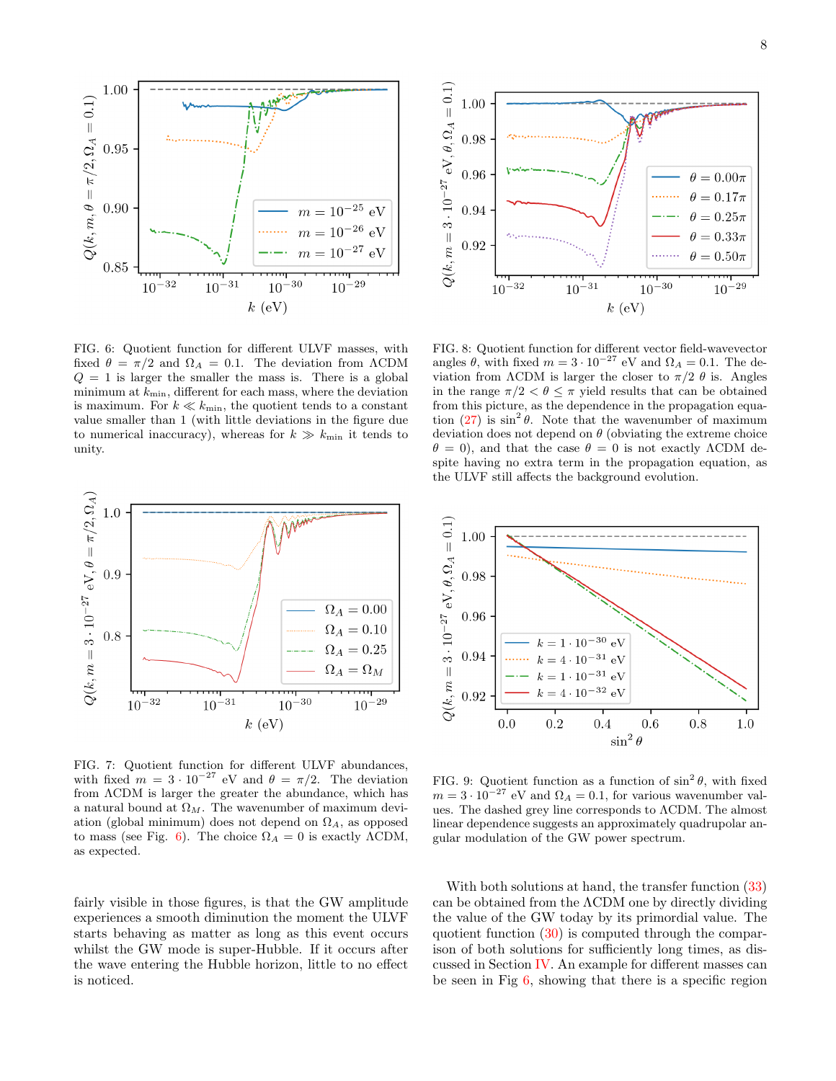

<span id="page-7-0"></span>FIG. 6: Quotient function for different ULVF masses, with fixed  $\theta = \pi/2$  and  $\Omega_A = 0.1$ . The deviation from ACDM  $Q = 1$  is larger the smaller the mass is. There is a global minimum at  $k_{\text{min}}$ , different for each mass, where the deviation is maximum. For  $k \ll k_{\text{min}}$ , the quotient tends to a constant value smaller than 1 (with little deviations in the figure due to numerical inaccuracy), whereas for  $k \gg k_{\text{min}}$  it tends to unity.



<span id="page-7-1"></span>FIG. 7: Quotient function for different ULVF abundances, with fixed  $m = 3 \cdot 10^{-27}$  eV and  $\theta = \pi/2$ . The deviation from ΛCDM is larger the greater the abundance, which has a natural bound at  $\Omega_M$ . The wavenumber of maximum deviation (global minimum) does not depend on  $\Omega_A$ , as opposed to mass (see Fig. [6\)](#page-7-0). The choice  $\Omega_A = 0$  is exactly  $\Lambda$ CDM, as expected.

fairly visible in those figures, is that the GW amplitude experiences a smooth diminution the moment the ULVF starts behaving as matter as long as this event occurs whilst the GW mode is super-Hubble. If it occurs after the wave entering the Hubble horizon, little to no effect is noticed.



<span id="page-7-2"></span>FIG. 8: Quotient function for different vector field-wavevector angles  $\theta$ , with fixed  $m = 3 \cdot 10^{-27}$  eV and  $\Omega_A = 0.1$ . The deviation from  $\Lambda$ CDM is larger the closer to  $\pi/2$  θ is. Angles in the range  $\pi/2 < \theta \leq \pi$  yield results that can be obtained from this picture, as the dependence in the propagation equation  $(27)$  is  $\sin^2 \theta$ . Note that the wavenumber of maximum deviation does not depend on  $\theta$  (obviating the extreme choice  $\theta = 0$ ), and that the case  $\theta = 0$  is not exactly  $\Lambda$ CDM despite having no extra term in the propagation equation, as the ULVF still affects the background evolution.



<span id="page-7-3"></span>FIG. 9: Quotient function as a function of  $\sin^2 \theta$ , with fixed  $m = 3 \cdot 10^{-27}$  eV and  $\Omega_A = 0.1$ , for various wavenumber values. The dashed grey line corresponds to ΛCDM. The almost linear dependence suggests an approximately quadrupolar angular modulation of the GW power spectrum.

With both solutions at hand, the transfer function  $(33)$ can be obtained from the ΛCDM one by directly dividing the value of the GW today by its primordial value. The quotient function [\(30\)](#page-4-1) is computed through the comparison of both solutions for sufficiently long times, as discussed in Section [IV.](#page-3-0) An example for different masses can be seen in Fig [6,](#page-7-0) showing that there is a specific region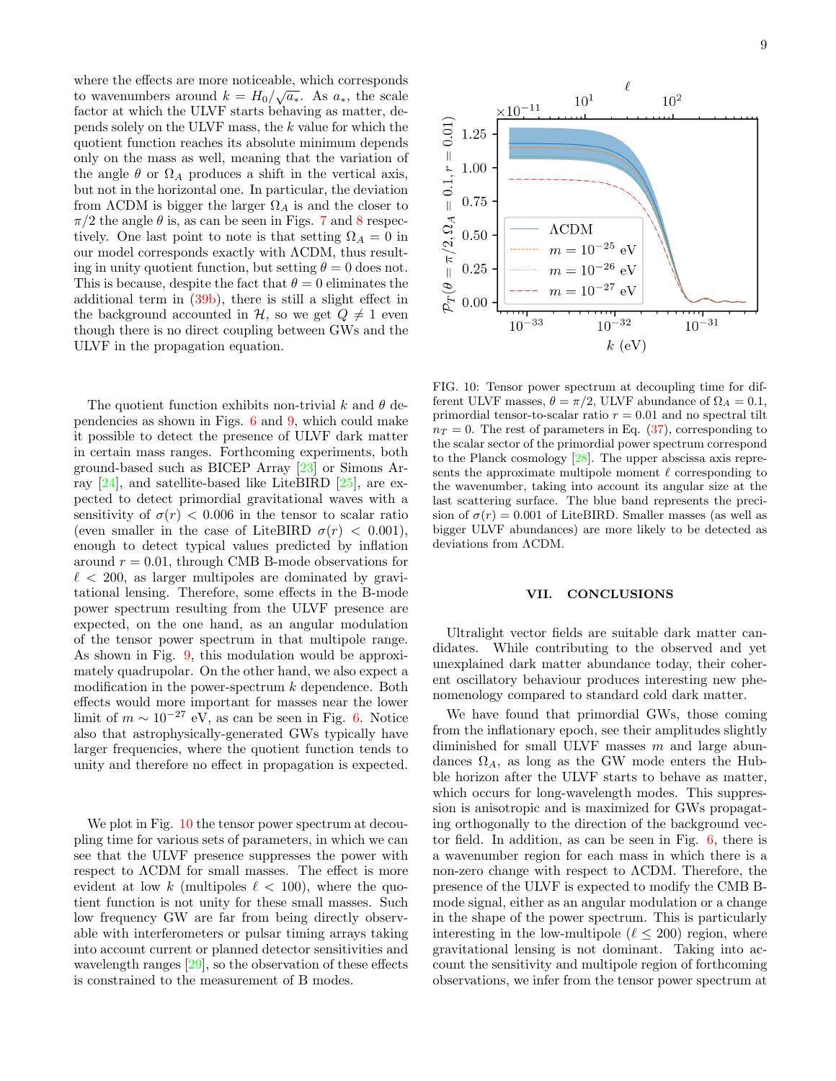where the effects are more noticeable, which corresponds to wavenumbers around  $k = H_0 / \sqrt{a_*}$ . As  $a_*$ , the scale factor at which the ULVF starts behaving as matter, depends solely on the ULVF mass, the k value for which the quotient function reaches its absolute minimum depends only on the mass as well, meaning that the variation of the angle  $\theta$  or  $\Omega_A$  produces a shift in the vertical axis, but not in the horizontal one. In particular, the deviation from  $\Lambda$ CDM is bigger the larger  $\Omega_A$  is and the closer to  $\pi/2$  the angle  $\theta$  is, as can be seen in Figs. [7](#page-7-1) and [8](#page-7-2) respectively. One last point to note is that setting  $\Omega_A = 0$  in our model corresponds exactly with ΛCDM, thus resulting in unity quotient function, but setting  $\theta = 0$  does not. This is because, despite the fact that  $\theta = 0$  eliminates the additional term in [\(39b\)](#page-5-4), there is still a slight effect in the background accounted in  $\mathcal{H}$ , so we get  $Q \neq 1$  even though there is no direct coupling between GWs and the ULVF in the propagation equation.

The quotient function exhibits non-trivial k and  $\theta$  dependencies as shown in Figs. [6](#page-7-0) and [9,](#page-7-3) which could make it possible to detect the presence of ULVF dark matter in certain mass ranges. Forthcoming experiments, both ground-based such as BICEP Array [\[23\]](#page-9-20) or Simons Array [\[24\]](#page-9-24), and satellite-based like LiteBIRD [\[25\]](#page-9-21), are expected to detect primordial gravitational waves with a sensitivity of  $\sigma(r)$  < 0.006 in the tensor to scalar ratio (even smaller in the case of LiteBIRD  $\sigma(r) < 0.001$ ), enough to detect typical values predicted by inflation around  $r = 0.01$ , through CMB B-mode observations for  $\ell$  < 200, as larger multipoles are dominated by gravitational lensing. Therefore, some effects in the B-mode power spectrum resulting from the ULVF presence are expected, on the one hand, as an angular modulation of the tensor power spectrum in that multipole range. As shown in Fig. [9,](#page-7-3) this modulation would be approximately quadrupolar. On the other hand, we also expect a modification in the power-spectrum  $k$  dependence. Both effects would more important for masses near the lower limit of  $m \sim 10^{-27}$  eV, as can be seen in Fig. [6.](#page-7-0) Notice also that astrophysically-generated GWs typically have larger frequencies, where the quotient function tends to unity and therefore no effect in propagation is expected.

We plot in Fig. [10](#page-8-1) the tensor power spectrum at decoupling time for various sets of parameters, in which we can see that the ULVF presence suppresses the power with respect to ΛCDM for small masses. The effect is more evident at low k (multipoles  $\ell < 100$ ), where the quotient function is not unity for these small masses. Such low frequency GW are far from being directly observable with interferometers or pulsar timing arrays taking into account current or planned detector sensitivities and wavelength ranges [\[29\]](#page-9-25), so the observation of these effects is constrained to the measurement of B modes.



<span id="page-8-1"></span>FIG. 10: Tensor power spectrum at decoupling time for different ULVF masses,  $\theta = \pi/2$ , ULVF abundance of  $\Omega_A = 0.1$ , primordial tensor-to-scalar ratio  $r = 0.01$  and no spectral tilt  $n_T = 0$ . The rest of parameters in Eq. [\(37\)](#page-5-6), corresponding to the scalar sector of the primordial power spectrum correspond to the Planck cosmology [\[28\]](#page-9-26). The upper abscissa axis represents the approximate multipole moment  $\ell$  corresponding to the wavenumber, taking into account its angular size at the last scattering surface. The blue band represents the precision of  $\sigma(r) = 0.001$  of LiteBIRD. Smaller masses (as well as bigger ULVF abundances) are more likely to be detected as deviations from ΛCDM.

### <span id="page-8-0"></span>VII. CONCLUSIONS

Ultralight vector fields are suitable dark matter candidates. While contributing to the observed and yet unexplained dark matter abundance today, their coherent oscillatory behaviour produces interesting new phenomenology compared to standard cold dark matter.

We have found that primordial GWs, those coming from the inflationary epoch, see their amplitudes slightly diminished for small ULVF masses  $m$  and large abundances  $\Omega_A$ , as long as the GW mode enters the Hubble horizon after the ULVF starts to behave as matter, which occurs for long-wavelength modes. This suppression is anisotropic and is maximized for GWs propagating orthogonally to the direction of the background vector field. In addition, as can be seen in Fig. [6,](#page-7-0) there is a wavenumber region for each mass in which there is a non-zero change with respect to ΛCDM. Therefore, the presence of the ULVF is expected to modify the CMB Bmode signal, either as an angular modulation or a change in the shape of the power spectrum. This is particularly interesting in the low-multipole ( $\ell < 200$ ) region, where gravitational lensing is not dominant. Taking into account the sensitivity and multipole region of forthcoming observations, we infer from the tensor power spectrum at